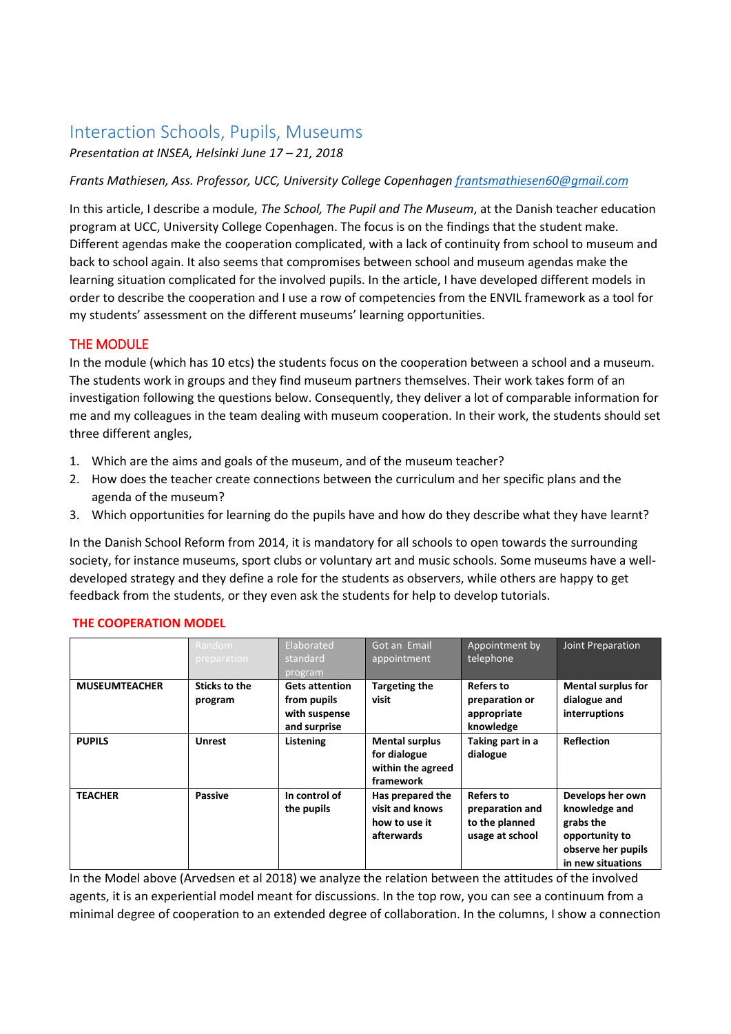# Interaction Schools, Pupils, Museums

*Presentation at INSEA, Helsinki June 17 – 21, 2018*

*Frants Mathiesen, Ass. Professor, UCC, University College Copenhagen [frantsmathiesen60@gmail.com](mailto:frantsmathiesen60@gmail.com)*

In this article, I describe a module, *The School, The Pupil and The Museum*, at the Danish teacher education program at UCC, University College Copenhagen. The focus is on the findings that the student make. Different agendas make the cooperation complicated, with a lack of continuity from school to museum and back to school again. It also seems that compromises between school and museum agendas make the learning situation complicated for the involved pupils. In the article, I have developed different models in order to describe the cooperation and I use a row of competencies from the ENVIL framework as a tool for my students' assessment on the different museums' learning opportunities.

### THE MODULE

In the module (which has 10 etcs) the students focus on the cooperation between a school and a museum. The students work in groups and they find museum partners themselves. Their work takes form of an investigation following the questions below. Consequently, they deliver a lot of comparable information for me and my colleagues in the team dealing with museum cooperation. In their work, the students should set three different angles,

- 1. Which are the aims and goals of the museum, and of the museum teacher?
- 2. How does the teacher create connections between the curriculum and her specific plans and the agenda of the museum?
- 3. Which opportunities for learning do the pupils have and how do they describe what they have learnt?

In the Danish School Reform from 2014, it is mandatory for all schools to open towards the surrounding society, for instance museums, sport clubs or voluntary art and music schools. Some museums have a welldeveloped strategy and they define a role for the students as observers, while others are happy to get feedback from the students, or they even ask the students for help to develop tutorials.

|                      | Random<br>preparation           | Elaborated<br>standard<br>program                                     | Got an Email<br>appointment                                             | Appointment by<br>telephone                                              | Joint Preparation                                                                                           |
|----------------------|---------------------------------|-----------------------------------------------------------------------|-------------------------------------------------------------------------|--------------------------------------------------------------------------|-------------------------------------------------------------------------------------------------------------|
| <b>MUSEUMTEACHER</b> | <b>Sticks to the</b><br>program | <b>Gets attention</b><br>from pupils<br>with suspense<br>and surprise | <b>Targeting the</b><br>visit                                           | <b>Refers to</b><br>preparation or<br>appropriate<br>knowledge           | <b>Mental surplus for</b><br>dialogue and<br>interruptions                                                  |
| <b>PUPILS</b>        | <b>Unrest</b>                   | Listening                                                             | <b>Mental surplus</b><br>for dialogue<br>within the agreed<br>framework | Taking part in a<br>dialogue                                             | <b>Reflection</b>                                                                                           |
| <b>TEACHER</b>       | <b>Passive</b>                  | In control of<br>the pupils                                           | Has prepared the<br>visit and knows<br>how to use it<br>afterwards      | <b>Refers to</b><br>preparation and<br>to the planned<br>usage at school | Develops her own<br>knowledge and<br>grabs the<br>opportunity to<br>observe her pupils<br>in new situations |

#### **THE COOPERATION MODEL**

In the Model above (Arvedsen et al 2018) we analyze the relation between the attitudes of the involved agents, it is an experiential model meant for discussions. In the top row, you can see a continuum from a minimal degree of cooperation to an extended degree of collaboration. In the columns, I show a connection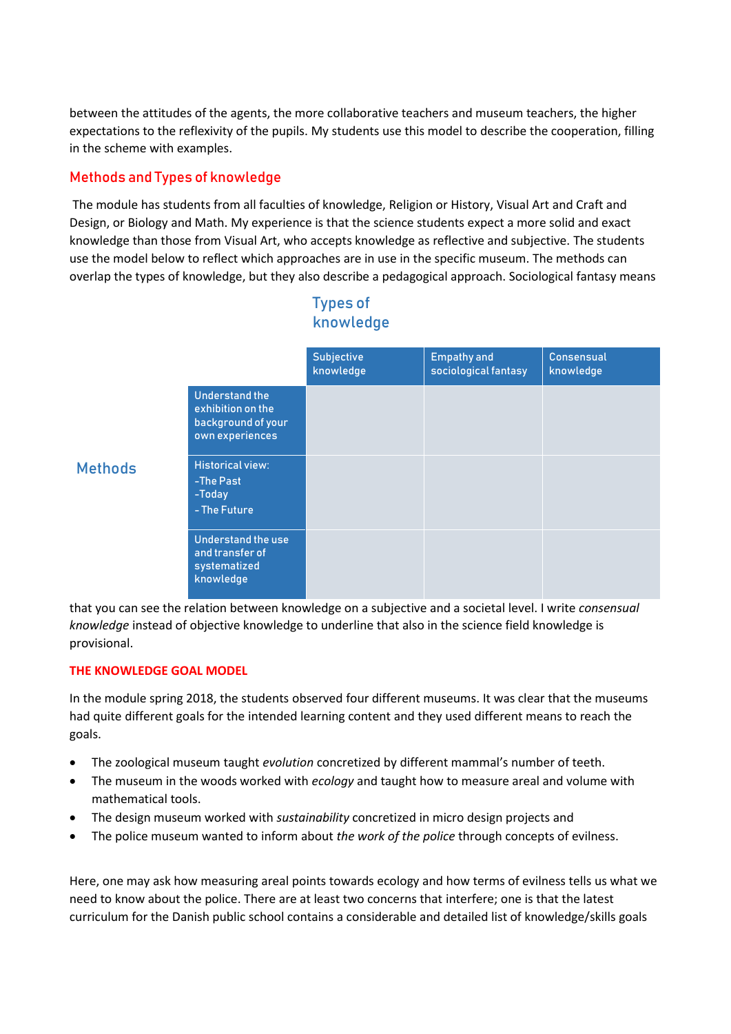between the attitudes of the agents, the more collaborative teachers and museum teachers, the higher expectations to the reflexivity of the pupils. My students use this model to describe the cooperation, filling in the scheme with examples.

# Methods and Types of knowledge

The module has students from all faculties of knowledge, Religion or History, Visual Art and Craft and Design, or Biology and Math. My experience is that the science students expect a more solid and exact knowledge than those from Visual Art, who accepts knowledge as reflective and subjective. The students use the model below to reflect which approaches are in use in the specific museum. The methods can overlap the types of knowledge, but they also describe a pedagogical approach. Sociological fantasy means

|                                                                                     | Subjective<br>knowledge | <b>Empathy and</b><br>sociological fantasy | <b>Consensual</b><br>knowledge |
|-------------------------------------------------------------------------------------|-------------------------|--------------------------------------------|--------------------------------|
| <b>Understand the</b><br>exhibition on the<br>background of your<br>own experiences |                         |                                            |                                |
| <b>Historical view:</b><br>-The Past<br>-Today<br>- The Future                      |                         |                                            |                                |
| Understand the use<br>and transfer of<br>systematized<br>knowledge                  |                         |                                            |                                |

# Types of knowledge

**Methods** 

that you can see the relation between knowledge on a subjective and a societal level. I write *consensual knowledge* instead of objective knowledge to underline that also in the science field knowledge is provisional.

### **THE KNOWLEDGE GOAL MODEL**

In the module spring 2018, the students observed four different museums. It was clear that the museums had quite different goals for the intended learning content and they used different means to reach the goals.

- The zoological museum taught *evolution* concretized by different mammal's number of teeth.
- The museum in the woods worked with *ecology* and taught how to measure areal and volume with mathematical tools.
- The design museum worked with *sustainability* concretized in micro design projects and
- The police museum wanted to inform about *the work of the police* through concepts of evilness.

Here, one may ask how measuring areal points towards ecology and how terms of evilness tells us what we need to know about the police. There are at least two concerns that interfere; one is that the latest curriculum for the Danish public school contains a considerable and detailed list of knowledge/skills goals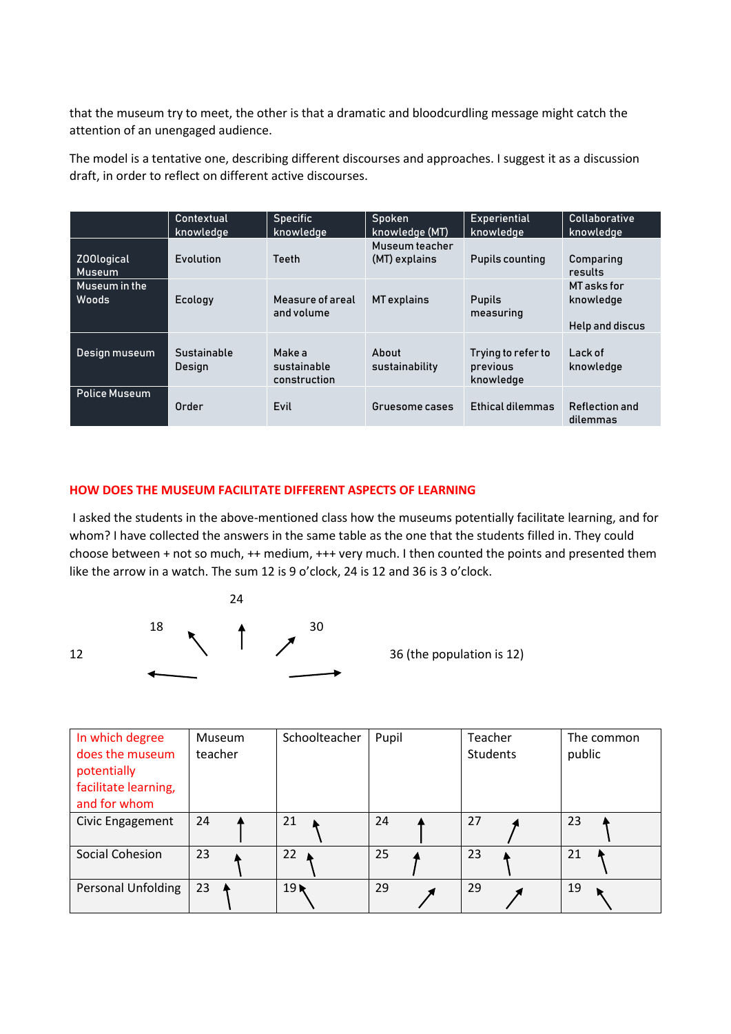that the museum try to meet, the other is that a dramatic and bloodcurdling message might catch the attention of an unengaged audience.

The model is a tentative one, describing different discourses and approaches. I suggest it as a discussion draft, in order to reflect on different active discourses.

|                             | Contextual<br>knowledge | <b>Specific</b><br>knowledge          | Spoken<br>knowledge (MT)        | <b>Experiential</b><br>knowledae            | <b>Collaborative</b><br>knowledge                  |
|-----------------------------|-------------------------|---------------------------------------|---------------------------------|---------------------------------------------|----------------------------------------------------|
| Z00logical<br><b>Museum</b> | Evolution               | Teeth                                 | Museum teacher<br>(MT) explains | <b>Pupils counting</b>                      | Comparing<br>results                               |
| Museum in the<br>Woods      | Ecology                 | Measure of areal<br>and volume        | MT explains                     | <b>Pupils</b><br>measuring                  | <b>MT</b> asks for<br>knowledge<br>Help and discus |
| Design museum               | Sustainable<br>Design   | Make a<br>sustainable<br>construction | About<br>sustainability         | Trying to refer to<br>previous<br>knowledge | Lack of<br>knowledge                               |
| <b>Police Museum</b>        | Order                   | Evil                                  | Gruesome cases                  | Ethical dilemmas                            | Reflection and<br>dilemmas                         |

#### **HOW DOES THE MUSEUM FACILITATE DIFFERENT ASPECTS OF LEARNING**

I asked the students in the above-mentioned class how the museums potentially facilitate learning, and for whom? I have collected the answers in the same table as the one that the students filled in. They could choose between + not so much, ++ medium, +++ very much. I then counted the points and presented them like the arrow in a watch. The sum 12 is 9 o'clock, 24 is 12 and 36 is 3 o'clock.



| In which degree<br>does the museum<br>potentially<br>facilitate learning,<br>and for whom | <b>Museum</b><br>teacher | Schoolteacher   | Pupil | Teacher<br><b>Students</b> | The common<br>public |
|-------------------------------------------------------------------------------------------|--------------------------|-----------------|-------|----------------------------|----------------------|
| Civic Engagement                                                                          | 24                       | 21              | 24    | 27                         | 23                   |
| Social Cohesion                                                                           | 23                       | 22              | 25    | 23                         | 21                   |
| <b>Personal Unfolding</b>                                                                 | 23                       | 19 <sub>k</sub> | 29    | 29                         | 19                   |